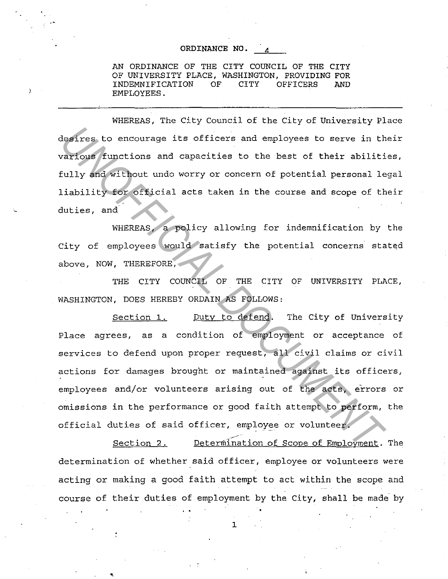## ORDINANCE NO.

AN ORDINANCE OF THE CITY COUNCIL OF THE CITY OF UNIVERSITY PLACE, WASHINGTON, PROVIDING FOR INDEMNIFICATION OF CITY OFFICERS AND EMPLOYEES.

WHEREAS, The City Council of the City of University Place desires to encourage its officers and employees to serve in their various functions and capacities to the best of their abilities, fully and without undo worry or concern of potential personal legal liability for official acts taken in the course and scope of their duties, and.

WHEREAS, a policy allowing for indemnification by the City of employees would satisfy the potential concerns stated above, NOW, THEREFORE,

THE CITY COUNCIL OF THE CITY OF UNIVERSITY PLACE, WASHINGTON, DOES HEREBY ORDAIN AS FOLLOWS:

Section 1. Duty to defend. The City of University Place agrees, as a condition of employment or acceptance of services to defend upon proper request, all civil claims or civil actions for damages brought or maintained against its officers, employees and/or volunteers arising out of the acts, errors or omissions in the performance or good faith attempt to perform, the official duties of said officer, employee or volunteer. **Example State of Elistant** and employees to serve in the corresponding functions and capacities to the best of their abilitifully and without undo worry or concern of potential personal leliability for official acts taken

Section 2. Determination of Scope of Employment. The determination of whether said officer, employee or volunteers were acting or making a good faith attempt to act within the scope and course of their duties of employment by the City, shall be made by or emproyme<br>..<br>1